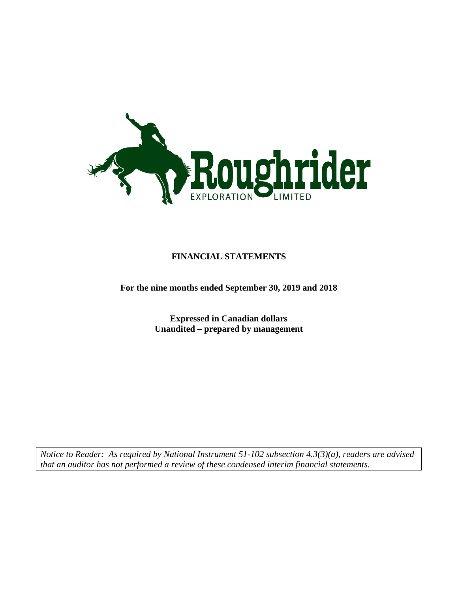

## **FINANCIAL STATEMENTS**

**For the nine months ended September 30, 2019 and 2018**

**Expressed in Canadian dollars Unaudited – prepared by management**

*Notice to Reader: As required by National Instrument 51-102 subsection 4.3(3)(a), readers are advised that an auditor has not performed a review of these condensed interim financial statements.*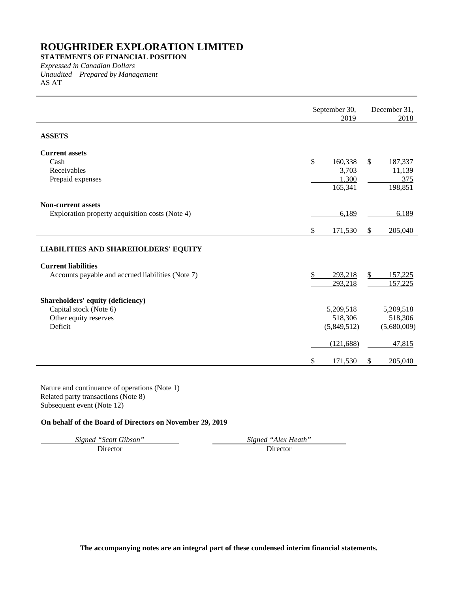**STATEMENTS OF FINANCIAL POSITION**

*Expressed in Canadian Dollars Unaudited – Prepared by Management* AS AT

|                                                                                                 | September 30,<br>2019                      | December 31,<br>2018                                |
|-------------------------------------------------------------------------------------------------|--------------------------------------------|-----------------------------------------------------|
| <b>ASSETS</b>                                                                                   |                                            |                                                     |
| <b>Current assets</b><br>Cash<br>Receivables<br>Prepaid expenses                                | \$<br>160,338<br>3,703<br>1,300<br>165,341 | $\mathbb{S}$<br>187,337<br>11,139<br>375<br>198,851 |
| <b>Non-current assets</b><br>Exploration property acquisition costs (Note 4)                    | 6,189<br>\$<br>171,530                     | 6,189<br>$\frac{1}{2}$<br>205,040                   |
| <b>LIABILITIES AND SHAREHOLDERS' EQUITY</b>                                                     |                                            |                                                     |
| <b>Current liabilities</b><br>Accounts payable and accrued liabilities (Note 7)                 | \$<br>293,218<br>293,218                   | \$<br>157,225<br>157,225                            |
| Shareholders' equity (deficiency)<br>Capital stock (Note 6)<br>Other equity reserves<br>Deficit | 5,209,518<br>518,306<br>(5,849,512)        | 5,209,518<br>518,306<br>(5,680,009)                 |
|                                                                                                 | (121, 688)                                 | 47,815                                              |
|                                                                                                 | \$<br>171,530                              | \$<br>205,040                                       |

Nature and continuance of operations (Note 1) Related party transactions (Note 8) Subsequent event (Note 12)

## **On behalf of the Board of Directors on November 29, 2019**

Director

*Signed "Scott Gibson" Signed "Alex Heath"*

**The accompanying notes are an integral part of these condensed interim financial statements.**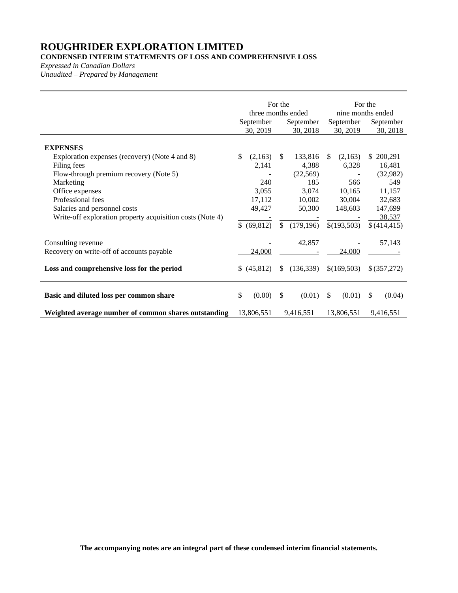## **CONDENSED INTERIM STATEMENTS OF LOSS AND COMPREHENSIVE LOSS**

*Expressed in Canadian Dollars*

*Unaudited – Prepared by Management*

|                                                                                           | September<br>30, 2019     | For the<br>three months ended<br>September<br>30, 2018 | September<br>30, 2019   | For the<br>nine months ended<br>September<br>30, 2018 |
|-------------------------------------------------------------------------------------------|---------------------------|--------------------------------------------------------|-------------------------|-------------------------------------------------------|
| <b>EXPENSES</b><br>Exploration expenses (recovery) (Note 4 and 8)                         | \$.<br>(2,163)            | 133,816<br>\$.                                         | (2,163)<br>\$.          | 200,291<br>S.                                         |
| Filing fees<br>Flow-through premium recovery (Note 5)                                     | 2,141                     | 4,388<br>(22, 569)                                     | 6,328                   | 16,481<br>(32,982)                                    |
| Marketing<br>Office expenses<br>Professional fees                                         | 240<br>3,055<br>17,112    | 185<br>3,074<br>10,002                                 | 566<br>10,165<br>30,004 | 549<br>11,157<br>32,683                               |
| Salaries and personnel costs<br>Write-off exploration property acquisition costs (Note 4) | 49,427                    | 50,300                                                 | 148,603                 | 147,699<br>38,537                                     |
|                                                                                           | (69, 812)<br>$\mathbb{S}$ | $\mathbb{S}$<br>(179, 196)                             | \$(193,503)             | \$(414, 415)                                          |
| Consulting revenue<br>Recovery on write-off of accounts payable                           | 24,000                    | 42,857                                                 | 24,000                  | 57,143                                                |
| Loss and comprehensive loss for the period                                                | (45, 812)<br>\$.          | (136, 339)<br><sup>\$</sup>                            | \$(169,503)             | \$ (357,272)                                          |
| Basic and diluted loss per common share                                                   | \$<br>(0.00)              | S<br>(0.01)                                            | <sup>\$</sup><br>(0.01) | S<br>(0.04)                                           |
| Weighted average number of common shares outstanding                                      | 13,806,551                | 9,416,551                                              | 13,806,551              | 9,416,551                                             |

**The accompanying notes are an integral part of these condensed interim financial statements.**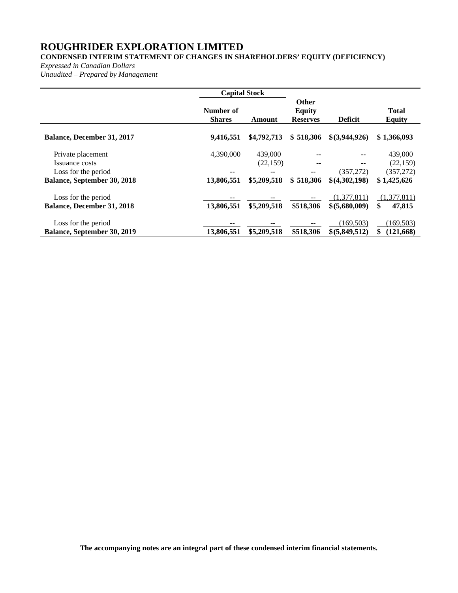## **CONDENSED INTERIM STATEMENT OF CHANGES IN SHAREHOLDERS' EQUITY (DEFICIENCY)**

*Expressed in Canadian Dollars*

*Unaudited – Prepared by Management*

|                                                           | <b>Capital Stock</b>       |                      |                                                  |                               |                               |
|-----------------------------------------------------------|----------------------------|----------------------|--------------------------------------------------|-------------------------------|-------------------------------|
|                                                           | Number of<br><b>Shares</b> | Amount               | <b>Other</b><br><b>Equity</b><br><b>Reserves</b> | <b>Deficit</b>                | <b>Total</b><br><b>Equity</b> |
| <b>Balance, December 31, 2017</b>                         | 9,416,551                  | \$4,792,713          | \$518,306                                        | $$$ (3,944,926)               | \$1,366,093                   |
| Private placement<br>Issuance costs                       | 4,390,000                  | 439,000<br>(22, 159) | --                                               | $- -$                         | 439,000<br>(22, 159)          |
| Loss for the period<br><b>Balance, September 30, 2018</b> | --<br>13,806,551           | \$5,209,518          | \$518,306                                        | (357,272)<br>\$(4,302,198)    | (357,272)<br>\$1,425,626      |
|                                                           |                            |                      |                                                  |                               |                               |
| Loss for the period<br><b>Balance, December 31, 2018</b>  | 13,806,551                 | \$5,209,518          | \$518,306                                        | (1,377,811)<br>\$ (5,680,009) | (1,377,811)<br>\$<br>47,815   |
| Loss for the period                                       |                            |                      |                                                  | (169.503)                     | (169, 503)                    |
| Balance, September 30, 2019                               | 13,806,551                 | \$5,209,518          | \$518,306                                        | \$(5,849,512)                 | \$<br>(121,668)               |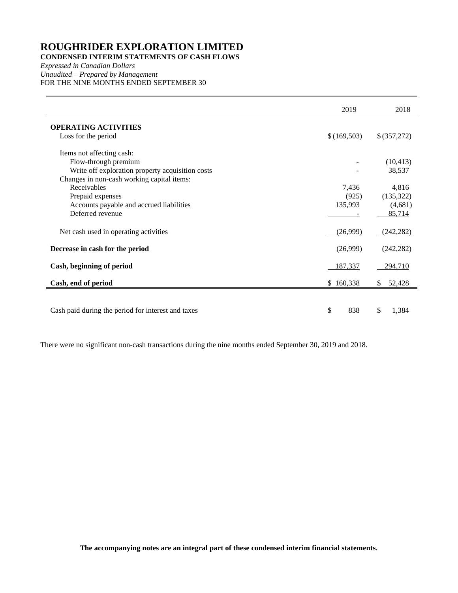## **CONDENSED INTERIM STATEMENTS OF CASH FLOWS**

*Expressed in Canadian Dollars Unaudited – Prepared by Management* FOR THE NINE MONTHS ENDED SEPTEMBER 30

|                                                    | 2019        | 2018         |
|----------------------------------------------------|-------------|--------------|
| <b>OPERATING ACTIVITIES</b>                        |             |              |
| Loss for the period                                | \$(169,503) | \$ (357,272) |
| Items not affecting cash:                          |             |              |
| Flow-through premium                               |             | (10, 413)    |
| Write off exploration property acquisition costs   |             | 38,537       |
| Changes in non-cash working capital items:         |             |              |
| Receivables                                        | 7,436       | 4,816        |
| Prepaid expenses                                   | (925)       | (135,322)    |
| Accounts payable and accrued liabilities           | 135,993     | (4,681)      |
| Deferred revenue                                   |             | 85,714       |
| Net cash used in operating activities              | (26,999)    | (242, 282)   |
| Decrease in cash for the period                    | (26,999)    | (242, 282)   |
| Cash, beginning of period                          | 187,337     | 294,710      |
| Cash, end of period                                | \$160,338   | 52,428<br>\$ |
|                                                    |             |              |
| Cash paid during the period for interest and taxes | \$<br>838   | \$<br>1,384  |

There were no significant non-cash transactions during the nine months ended September 30, 2019 and 2018.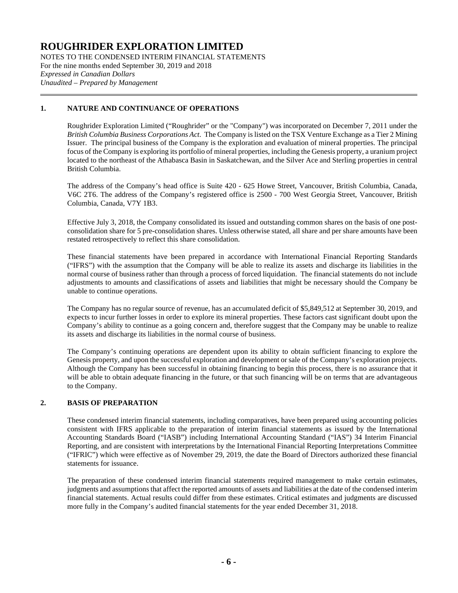NOTES TO THE CONDENSED INTERIM FINANCIAL STATEMENTS For the nine months ended September 30, 2019 and 2018 *Expressed in Canadian Dollars Unaudited – Prepared by Management*

## **1. NATURE AND CONTINUANCE OF OPERATIONS**

Roughrider Exploration Limited ("Roughrider" or the "Company") was incorporated on December 7, 2011 under the *British Columbia Business Corporations Act*. The Company is listed on the TSX Venture Exchange as a Tier 2 Mining Issuer. The principal business of the Company is the exploration and evaluation of mineral properties. The principal focus of the Company is exploring its portfolio of mineral properties, including the Genesis property, a uranium project located to the northeast of the Athabasca Basin in Saskatchewan, and the Silver Ace and Sterling properties in central British Columbia.

The address of the Company's head office is Suite 420 - 625 Howe Street, Vancouver, British Columbia, Canada, V6C 2T6. The address of the Company's registered office is 2500 - 700 West Georgia Street, Vancouver, British Columbia, Canada, V7Y 1B3.

Effective July 3, 2018, the Company consolidated its issued and outstanding common shares on the basis of one postconsolidation share for 5 pre-consolidation shares. Unless otherwise stated, all share and per share amounts have been restated retrospectively to reflect this share consolidation.

These financial statements have been prepared in accordance with International Financial Reporting Standards ("IFRS") with the assumption that the Company will be able to realize its assets and discharge its liabilities in the normal course of business rather than through a process of forced liquidation. The financial statements do not include adjustments to amounts and classifications of assets and liabilities that might be necessary should the Company be unable to continue operations.

The Company has no regular source of revenue, has an accumulated deficit of \$5,849,512 at September 30, 2019, and expects to incur further losses in order to explore its mineral properties. These factors cast significant doubt upon the Company's ability to continue as a going concern and, therefore suggest that the Company may be unable to realize its assets and discharge its liabilities in the normal course of business.

The Company's continuing operations are dependent upon its ability to obtain sufficient financing to explore the Genesis property, and upon the successful exploration and development or sale of the Company's exploration projects. Although the Company has been successful in obtaining financing to begin this process, there is no assurance that it will be able to obtain adequate financing in the future, or that such financing will be on terms that are advantageous to the Company.

### **2. BASIS OF PREPARATION**

These condensed interim financial statements, including comparatives, have been prepared using accounting policies consistent with IFRS applicable to the preparation of interim financial statements as issued by the International Accounting Standards Board ("IASB") including International Accounting Standard ("IAS") 34 Interim Financial Reporting, and are consistent with interpretations by the International Financial Reporting Interpretations Committee ("IFRIC") which were effective as of November 29, 2019, the date the Board of Directors authorized these financial statements for issuance.

The preparation of these condensed interim financial statements required management to make certain estimates, judgments and assumptions that affect the reported amounts of assets and liabilities at the date of the condensed interim financial statements. Actual results could differ from these estimates. Critical estimates and judgments are discussed more fully in the Company's audited financial statements for the year ended December 31, 2018.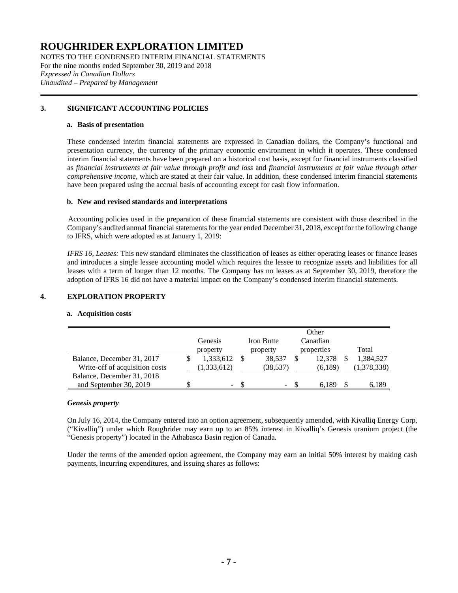NOTES TO THE CONDENSED INTERIM FINANCIAL STATEMENTS For the nine months ended September 30, 2019 and 2018 *Expressed in Canadian Dollars Unaudited – Prepared by Management*

## **3. SIGNIFICANT ACCOUNTING POLICIES**

#### **a. Basis of presentation**

These condensed interim financial statements are expressed in Canadian dollars, the Company's functional and presentation currency, the currency of the primary economic environment in which it operates. These condensed interim financial statements have been prepared on a historical cost basis, except for financial instruments classified as *financial instruments at fair value through profit and loss* and *financial instruments at fair value through other comprehensive income*, which are stated at their fair value. In addition, these condensed interim financial statements have been prepared using the accrual basis of accounting except for cash flow information.

### **b. New and revised standards and interpretations**

Accounting policies used in the preparation of these financial statements are consistent with those described in the Company's audited annual financial statements for the year ended December 31, 2018, except for the following change to IFRS, which were adopted as at January 1, 2019:

*IFRS 16, Leases:* This new standard eliminates the classification of leases as either operating leases or finance leases and introduces a single lessee accounting model which requires the lessee to recognize assets and liabilities for all leases with a term of longer than 12 months. The Company has no leases as at September 30, 2019, therefore the adoption of IFRS 16 did not have a material impact on the Company's condensed interim financial statements.

### **4. EXPLORATION PROPERTY**

### **a. Acquisition costs**

|                                | <b>Genesis</b><br>property | <b>Iron Butte</b><br>property | Other<br>Canadian<br>properties | Total       |
|--------------------------------|----------------------------|-------------------------------|---------------------------------|-------------|
| Balance, December 31, 2017     | 1,333,612                  | 38,537                        | 12.378                          | 1,384,527   |
| Write-off of acquisition costs | 1,333,612)                 | (38,537)                      | (6,189)                         | (1,378,338) |
| Balance, December 31, 2018     |                            |                               |                                 |             |
| and September 30, 2019         | ۰.                         | -                             |                                 | 6.189       |

### *Genesis property*

On July 16, 2014, the Company entered into an option agreement, subsequently amended, with Kivalliq Energy Corp, ("Kivalliq") under which Roughrider may earn up to an 85% interest in Kivalliq's Genesis uranium project (the "Genesis property") located in the Athabasca Basin region of Canada.

Under the terms of the amended option agreement, the Company may earn an initial 50% interest by making cash payments, incurring expenditures, and issuing shares as follows: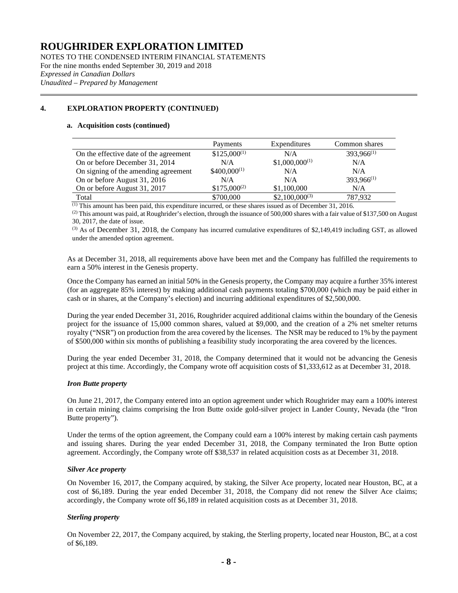NOTES TO THE CONDENSED INTERIM FINANCIAL STATEMENTS For the nine months ended September 30, 2019 and 2018 *Expressed in Canadian Dollars Unaudited – Prepared by Management*

## **4. EXPLORATION PROPERTY (CONTINUED)**

#### **a. Acquisition costs (continued)**

|                                        | Payments         | Expenditures       | Common shares   |
|----------------------------------------|------------------|--------------------|-----------------|
| On the effective date of the agreement | $$125,000^{(1)}$ | N/A                | $393,966^{(1)}$ |
| On or before December 31, 2014         | N/A              | $$1,000,000^{(1)}$ | N/A             |
| On signing of the amending agreement   | $$400,000^{(1)}$ | N/A                | N/A             |
| On or before August 31, 2016           | N/A              | N/A                | $393,966^{(1)}$ |
| On or before August 31, 2017           | $$175,000^{(2)}$ | \$1,100,000        | N/A             |
| Total                                  | \$700,000        | $$2,100,000^{(3)}$ | 787.932         |

 $<sup>(1)</sup>$  This amount has been paid, this expenditure incurred, or these shares issued as of December 31, 2016.</sup>

 $^{(2)}$  This amount was paid, at Roughrider's election, through the issuance of 500,000 shares with a fair value of \$137,500 on August 30, 2017, the date of issue.

 $(3)$  As of December 31, 2018, the Company has incurred cumulative expenditures of \$2,149,419 including GST, as allowed under the amended option agreement.

As at December 31, 2018, all requirements above have been met and the Company has fulfilled the requirements to earn a 50% interest in the Genesis property.

Once the Company has earned an initial 50% in the Genesis property, the Company may acquire a further 35% interest (for an aggregate 85% interest) by making additional cash payments totaling \$700,000 (which may be paid either in cash or in shares, at the Company's election) and incurring additional expenditures of \$2,500,000.

During the year ended December 31, 2016, Roughrider acquired additional claims within the boundary of the Genesis project for the issuance of 15,000 common shares, valued at \$9,000, and the creation of a 2% net smelter returns royalty ("NSR") on production from the area covered by the licenses. The NSR may be reduced to 1% by the payment of \$500,000 within six months of publishing a feasibility study incorporating the area covered by the licences.

During the year ended December 31, 2018, the Company determined that it would not be advancing the Genesis project at this time. Accordingly, the Company wrote off acquisition costs of \$1,333,612 as at December 31, 2018.

### *Iron Butte property*

On June 21, 2017, the Company entered into an option agreement under which Roughrider may earn a 100% interest in certain mining claims comprising the Iron Butte oxide gold-silver project in Lander County, Nevada (the "Iron Butte property").

Under the terms of the option agreement, the Company could earn a 100% interest by making certain cash payments and issuing shares. During the year ended December 31, 2018, the Company terminated the Iron Butte option agreement. Accordingly, the Company wrote off \$38,537 in related acquisition costs as at December 31, 2018.

### *Silver Ace property*

On November 16, 2017, the Company acquired, by staking, the Silver Ace property, located near Houston, BC, at a cost of \$6,189. During the year ended December 31, 2018, the Company did not renew the Silver Ace claims; accordingly, the Company wrote off \$6,189 in related acquisition costs as at December 31, 2018.

### *Sterling property*

On November 22, 2017, the Company acquired, by staking, the Sterling property, located near Houston, BC, at a cost of \$6,189.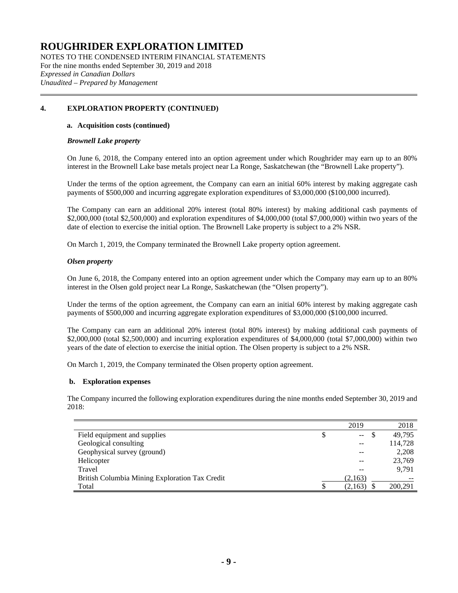NOTES TO THE CONDENSED INTERIM FINANCIAL STATEMENTS For the nine months ended September 30, 2019 and 2018 *Expressed in Canadian Dollars Unaudited – Prepared by Management*

## **4. EXPLORATION PROPERTY (CONTINUED)**

#### **a. Acquisition costs (continued)**

#### *Brownell Lake property*

On June 6, 2018, the Company entered into an option agreement under which Roughrider may earn up to an 80% interest in the Brownell Lake base metals project near La Ronge, Saskatchewan (the "Brownell Lake property").

Under the terms of the option agreement, the Company can earn an initial 60% interest by making aggregate cash payments of \$500,000 and incurring aggregate exploration expenditures of \$3,000,000 (\$100,000 incurred).

The Company can earn an additional 20% interest (total 80% interest) by making additional cash payments of \$2,000,000 (total \$2,500,000) and exploration expenditures of \$4,000,000 (total \$7,000,000) within two years of the date of election to exercise the initial option. The Brownell Lake property is subject to a 2% NSR.

On March 1, 2019, the Company terminated the Brownell Lake property option agreement.

#### *Olsen property*

On June 6, 2018, the Company entered into an option agreement under which the Company may earn up to an 80% interest in the Olsen gold project near La Ronge, Saskatchewan (the "Olsen property").

Under the terms of the option agreement, the Company can earn an initial 60% interest by making aggregate cash payments of \$500,000 and incurring aggregate exploration expenditures of \$3,000,000 (\$100,000 incurred.

The Company can earn an additional 20% interest (total 80% interest) by making additional cash payments of \$2,000,000 (total \$2,500,000) and incurring exploration expenditures of \$4,000,000 (total \$7,000,000) within two years of the date of election to exercise the initial option. The Olsen property is subject to a 2% NSR.

On March 1, 2019, the Company terminated the Olsen property option agreement.

### **b. Exploration expenses**

The Company incurred the following exploration expenditures during the nine months ended September 30, 2019 and 2018:

|                                                |     | 2019                     | 2018    |
|------------------------------------------------|-----|--------------------------|---------|
| Field equipment and supplies                   | S   | $\overline{\phantom{m}}$ | 49.795  |
| Geological consulting                          |     | --                       | 114,728 |
| Geophysical survey (ground)                    |     | --                       | 2,208   |
| Helicopter                                     |     | --                       | 23,769  |
| Travel                                         |     | --                       | 9,791   |
| British Columbia Mining Exploration Tax Credit |     | (2,163)                  |         |
| Total                                          | \$. | (2,163)                  | 200,291 |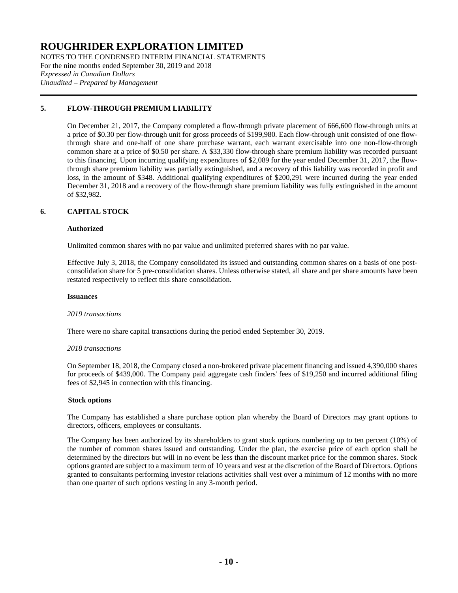NOTES TO THE CONDENSED INTERIM FINANCIAL STATEMENTS For the nine months ended September 30, 2019 and 2018 *Expressed in Canadian Dollars Unaudited – Prepared by Management*

## **5. FLOW-THROUGH PREMIUM LIABILITY**

On December 21, 2017, the Company completed a flow-through private placement of 666,600 flow-through units at a price of \$0.30 per flow-through unit for gross proceeds of \$199,980. Each flow-through unit consisted of one flowthrough share and one-half of one share purchase warrant, each warrant exercisable into one non-flow-through common share at a price of \$0.50 per share. A \$33,330 flow-through share premium liability was recorded pursuant to this financing. Upon incurring qualifying expenditures of \$2,089 for the year ended December 31, 2017, the flowthrough share premium liability was partially extinguished, and a recovery of this liability was recorded in profit and loss, in the amount of \$348. Additional qualifying expenditures of \$200,291 were incurred during the year ended December 31, 2018 and a recovery of the flow-through share premium liability was fully extinguished in the amount of \$32,982.

## **6. CAPITAL STOCK**

#### **Authorized**

Unlimited common shares with no par value and unlimited preferred shares with no par value.

Effective July 3, 2018, the Company consolidated its issued and outstanding common shares on a basis of one postconsolidation share for 5 pre-consolidation shares. Unless otherwise stated, all share and per share amounts have been restated respectively to reflect this share consolidation.

#### **Issuances**

#### *2019 transactions*

There were no share capital transactions during the period ended September 30, 2019.

#### *2018 transactions*

On September 18, 2018, the Company closed a non-brokered private placement financing and issued 4,390,000 shares for proceeds of \$439,000. The Company paid aggregate cash finders' fees of \$19,250 and incurred additional filing fees of \$2,945 in connection with this financing.

### **Stock options**

The Company has established a share purchase option plan whereby the Board of Directors may grant options to directors, officers, employees or consultants.

The Company has been authorized by its shareholders to grant stock options numbering up to ten percent (10%) of the number of common shares issued and outstanding. Under the plan, the exercise price of each option shall be determined by the directors but will in no event be less than the discount market price for the common shares. Stock options granted are subject to a maximum term of 10 years and vest at the discretion of the Board of Directors. Options granted to consultants performing investor relations activities shall vest over a minimum of 12 months with no more than one quarter of such options vesting in any 3-month period.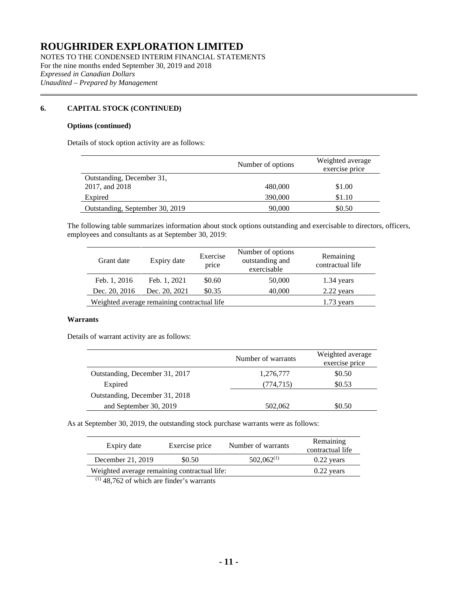NOTES TO THE CONDENSED INTERIM FINANCIAL STATEMENTS For the nine months ended September 30, 2019 and 2018 *Expressed in Canadian Dollars Unaudited – Prepared by Management*

## **6. CAPITAL STOCK (CONTINUED)**

#### **Options (continued)**

Details of stock option activity are as follows:

|                                 | Number of options | Weighted average<br>exercise price |
|---------------------------------|-------------------|------------------------------------|
| Outstanding, December 31,       |                   |                                    |
| 2017, and 2018                  | 480,000           | \$1.00                             |
| Expired                         | 390,000           | \$1.10                             |
| Outstanding, September 30, 2019 | 90,000            | \$0.50                             |

The following table summarizes information about stock options outstanding and exercisable to directors, officers, employees and consultants as at September 30, 2019:

| Grant date    | Expiry date                                 | Exercise<br>price | Number of options<br>outstanding and<br>exercisable | Remaining<br>contractual life |
|---------------|---------------------------------------------|-------------------|-----------------------------------------------------|-------------------------------|
| Feb. 1, 2016  | Feb. 1, 2021                                | \$0.60            | 50,000                                              | 1.34 years                    |
| Dec. 20, 2016 | Dec. 20, 2021                               | \$0.35            | 40,000                                              | 2.22 years                    |
|               | Weighted average remaining contractual life |                   |                                                     | $1.73$ years                  |

#### **Warrants**

Details of warrant activity are as follows:

|                                | Number of warrants | Weighted average<br>exercise price |
|--------------------------------|--------------------|------------------------------------|
| Outstanding, December 31, 2017 | 1,276,777          | \$0.50                             |
| Expired                        | (774,715)          | \$0.53                             |
| Outstanding, December 31, 2018 |                    |                                    |
| and September 30, 2019         | 502,062            | \$0.50                             |

As at September 30, 2019, the outstanding stock purchase warrants were as follows:

| Expiry date                                                                                                                                                                                                                                                                                                                                                                           | Exercise price | Number of warrants | Remaining<br>contractual life |
|---------------------------------------------------------------------------------------------------------------------------------------------------------------------------------------------------------------------------------------------------------------------------------------------------------------------------------------------------------------------------------------|----------------|--------------------|-------------------------------|
| December 21, 2019                                                                                                                                                                                                                                                                                                                                                                     | \$0.50         | $502,062^{(1)}$    | $0.22$ years                  |
| Weighted average remaining contractual life:                                                                                                                                                                                                                                                                                                                                          | $0.22$ years   |                    |                               |
| $\left(1\right)$ $\left(1\right)$ $\left(1\right)$ $\left(1\right)$ $\left(1\right)$ $\left(1\right)$ $\left(1\right)$ $\left(1\right)$ $\left(1\right)$ $\left(1\right)$ $\left(1\right)$ $\left(1\right)$ $\left(1\right)$ $\left(1\right)$ $\left(1\right)$ $\left(1\right)$ $\left(1\right)$ $\left(1\right)$ $\left(1\right)$ $\left(1\right)$ $\left(1\right)$ $\left(1\right)$ |                |                    |                               |

 $(1)$  48,762 of which are finder's warrants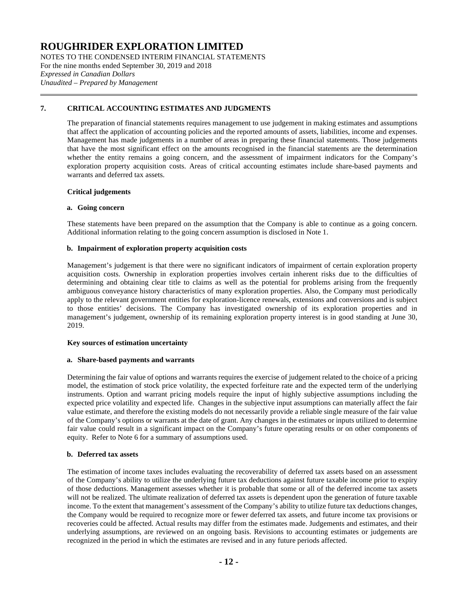NOTES TO THE CONDENSED INTERIM FINANCIAL STATEMENTS For the nine months ended September 30, 2019 and 2018 *Expressed in Canadian Dollars Unaudited – Prepared by Management*

### **7. CRITICAL ACCOUNTING ESTIMATES AND JUDGMENTS**

The preparation of financial statements requires management to use judgement in making estimates and assumptions that affect the application of accounting policies and the reported amounts of assets, liabilities, income and expenses. Management has made judgements in a number of areas in preparing these financial statements. Those judgements that have the most significant effect on the amounts recognised in the financial statements are the determination whether the entity remains a going concern, and the assessment of impairment indicators for the Company's exploration property acquisition costs. Areas of critical accounting estimates include share-based payments and warrants and deferred tax assets.

#### **Critical judgements**

#### **a. Going concern**

These statements have been prepared on the assumption that the Company is able to continue as a going concern. Additional information relating to the going concern assumption is disclosed in Note 1.

#### **b. Impairment of exploration property acquisition costs**

Management's judgement is that there were no significant indicators of impairment of certain exploration property acquisition costs. Ownership in exploration properties involves certain inherent risks due to the difficulties of determining and obtaining clear title to claims as well as the potential for problems arising from the frequently ambiguous conveyance history characteristics of many exploration properties. Also, the Company must periodically apply to the relevant government entities for exploration-licence renewals, extensions and conversions and is subject to those entities' decisions. The Company has investigated ownership of its exploration properties and in management's judgement, ownership of its remaining exploration property interest is in good standing at June 30, 2019.

#### **Key sources of estimation uncertainty**

#### **a. Share-based payments and warrants**

Determining the fair value of options and warrants requires the exercise of judgement related to the choice of a pricing model, the estimation of stock price volatility, the expected forfeiture rate and the expected term of the underlying instruments. Option and warrant pricing models require the input of highly subjective assumptions including the expected price volatility and expected life. Changes in the subjective input assumptions can materially affect the fair value estimate, and therefore the existing models do not necessarily provide a reliable single measure of the fair value of the Company's options or warrants at the date of grant. Any changes in the estimates or inputs utilized to determine fair value could result in a significant impact on the Company's future operating results or on other components of equity. Refer to Note 6 for a summary of assumptions used.

#### **b. Deferred tax assets**

The estimation of income taxes includes evaluating the recoverability of deferred tax assets based on an assessment of the Company's ability to utilize the underlying future tax deductions against future taxable income prior to expiry of those deductions. Management assesses whether it is probable that some or all of the deferred income tax assets will not be realized. The ultimate realization of deferred tax assets is dependent upon the generation of future taxable income. To the extent that management's assessment of the Company's ability to utilize future tax deductions changes, the Company would be required to recognize more or fewer deferred tax assets, and future income tax provisions or recoveries could be affected. Actual results may differ from the estimates made. Judgements and estimates, and their underlying assumptions, are reviewed on an ongoing basis. Revisions to accounting estimates or judgements are recognized in the period in which the estimates are revised and in any future periods affected.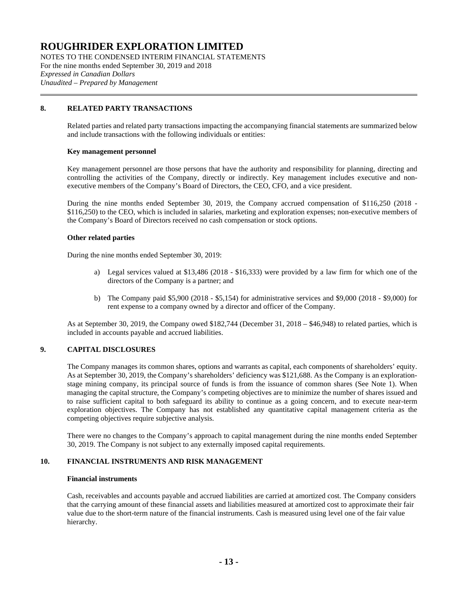NOTES TO THE CONDENSED INTERIM FINANCIAL STATEMENTS For the nine months ended September 30, 2019 and 2018 *Expressed in Canadian Dollars Unaudited – Prepared by Management*

## **8. RELATED PARTY TRANSACTIONS**

Related parties and related party transactions impacting the accompanying financial statements are summarized below and include transactions with the following individuals or entities:

#### **Key management personnel**

Key management personnel are those persons that have the authority and responsibility for planning, directing and controlling the activities of the Company, directly or indirectly. Key management includes executive and nonexecutive members of the Company's Board of Directors, the CEO, CFO, and a vice president.

During the nine months ended September 30, 2019, the Company accrued compensation of \$116,250 (2018 - \$116,250) to the CEO, which is included in salaries, marketing and exploration expenses; non-executive members of the Company's Board of Directors received no cash compensation or stock options.

#### **Other related parties**

During the nine months ended September 30, 2019:

- a) Legal services valued at \$13,486 (2018 \$16,333) were provided by a law firm for which one of the directors of the Company is a partner; and
- b) The Company paid \$5,900 (2018 \$5,154) for administrative services and \$9,000 (2018 \$9,000) for rent expense to a company owned by a director and officer of the Company.

As at September 30, 2019, the Company owed \$182,744 (December 31, 2018 – \$46,948) to related parties, which is included in accounts payable and accrued liabilities.

### **9. CAPITAL DISCLOSURES**

The Company manages its common shares, options and warrants as capital, each components of shareholders' equity. As at September 30, 2019, the Company's shareholders' deficiency was \$121,688. As the Company is an explorationstage mining company, its principal source of funds is from the issuance of common shares (See Note 1). When managing the capital structure, the Company's competing objectives are to minimize the number of shares issued and to raise sufficient capital to both safeguard its ability to continue as a going concern, and to execute near-term exploration objectives. The Company has not established any quantitative capital management criteria as the competing objectives require subjective analysis.

There were no changes to the Company's approach to capital management during the nine months ended September 30, 2019. The Company is not subject to any externally imposed capital requirements.

## **10. FINANCIAL INSTRUMENTS AND RISK MANAGEMENT**

#### **Financial instruments**

Cash, receivables and accounts payable and accrued liabilities are carried at amortized cost. The Company considers that the carrying amount of these financial assets and liabilities measured at amortized cost to approximate their fair value due to the short-term nature of the financial instruments. Cash is measured using level one of the fair value hierarchy.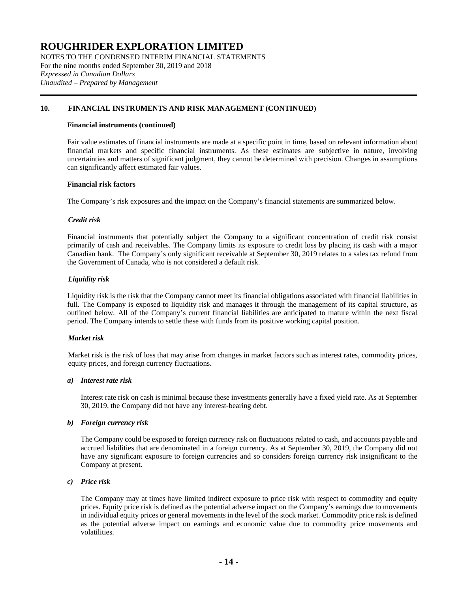NOTES TO THE CONDENSED INTERIM FINANCIAL STATEMENTS For the nine months ended September 30, 2019 and 2018 *Expressed in Canadian Dollars Unaudited – Prepared by Management*

### **10. FINANCIAL INSTRUMENTS AND RISK MANAGEMENT (CONTINUED)**

#### **Financial instruments (continued)**

Fair value estimates of financial instruments are made at a specific point in time, based on relevant information about financial markets and specific financial instruments. As these estimates are subjective in nature, involving uncertainties and matters of significant judgment, they cannot be determined with precision. Changes in assumptions can significantly affect estimated fair values.

#### **Financial risk factors**

The Company's risk exposures and the impact on the Company's financial statements are summarized below.

#### *Credit risk*

Financial instruments that potentially subject the Company to a significant concentration of credit risk consist primarily of cash and receivables. The Company limits its exposure to credit loss by placing its cash with a major Canadian bank. The Company's only significant receivable at September 30, 2019 relates to a sales tax refund from the Government of Canada, who is not considered a default risk.

#### *Liquidity risk*

Liquidity risk is the risk that the Company cannot meet its financial obligations associated with financial liabilities in full. The Company is exposed to liquidity risk and manages it through the management of its capital structure, as outlined below. All of the Company's current financial liabilities are anticipated to mature within the next fiscal period. The Company intends to settle these with funds from its positive working capital position.

### *Market risk*

Market risk is the risk of loss that may arise from changes in market factors such as interest rates, commodity prices, equity prices, and foreign currency fluctuations.

#### *a) Interest rate risk*

Interest rate risk on cash is minimal because these investments generally have a fixed yield rate. As at September 30, 2019, the Company did not have any interest-bearing debt.

#### *b) Foreign currency risk*

The Company could be exposed to foreign currency risk on fluctuations related to cash, and accounts payable and accrued liabilities that are denominated in a foreign currency. As at September 30, 2019, the Company did not have any significant exposure to foreign currencies and so considers foreign currency risk insignificant to the Company at present.

#### *c) Price risk*

The Company may at times have limited indirect exposure to price risk with respect to commodity and equity prices. Equity price risk is defined as the potential adverse impact on the Company's earnings due to movements in individual equity prices or general movements in the level of the stock market. Commodity price risk is defined as the potential adverse impact on earnings and economic value due to commodity price movements and volatilities.